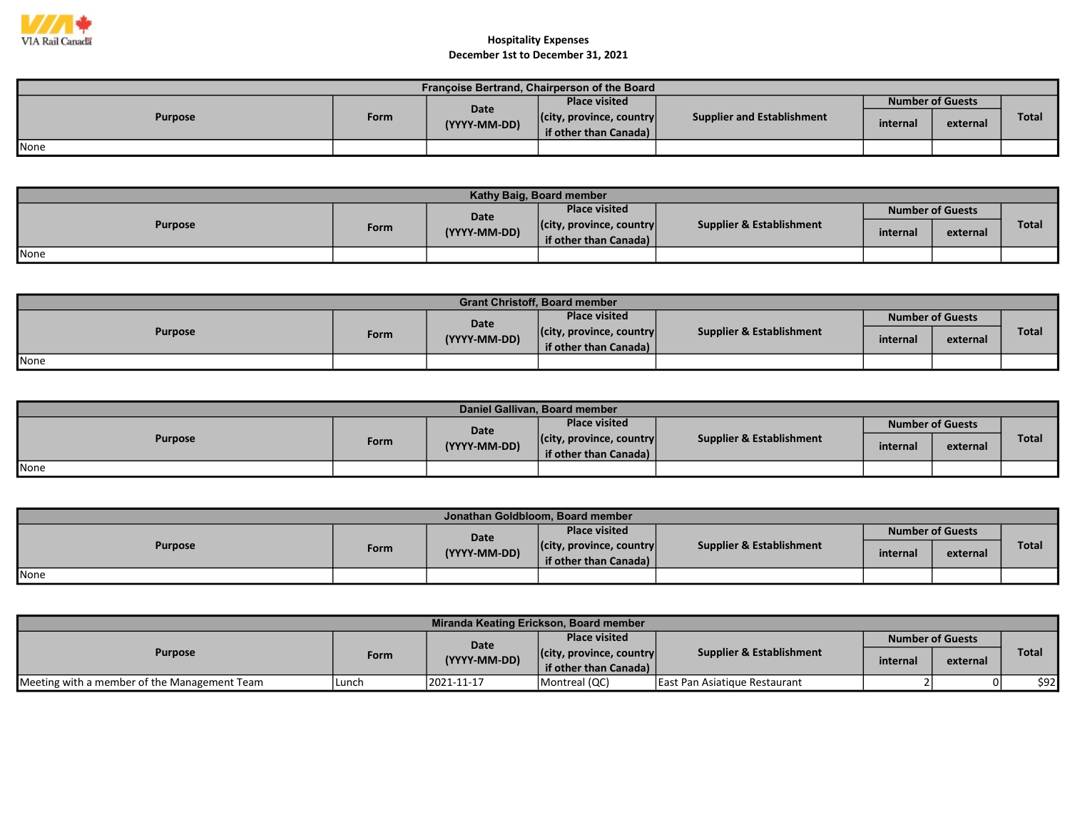

| Françoise Bertrand, Chairperson of the Board |      |                             |                                  |                            |          |                         |       |  |  |  |
|----------------------------------------------|------|-----------------------------|----------------------------------|----------------------------|----------|-------------------------|-------|--|--|--|
| <b>Purpose</b>                               |      |                             | <b>Place visited</b>             |                            |          | <b>Number of Guests</b> |       |  |  |  |
|                                              | Form | <b>Date</b><br>(YYYY-MM-DD) | $ $ (city, province, country $ $ | Supplier and Establishment | internal | external                | Total |  |  |  |
|                                              |      |                             | if other than Canada)            |                            |          |                         |       |  |  |  |
| <b>None</b>                                  |      |                             |                                  |                            |          |                         |       |  |  |  |

| Kathy Baig, Board member |      |              |                                  |                          |          |                         |              |  |  |
|--------------------------|------|--------------|----------------------------------|--------------------------|----------|-------------------------|--------------|--|--|
| <b>Purpose</b>           |      | <b>Date</b>  | <b>Place visited</b>             |                          |          | <b>Number of Guests</b> |              |  |  |
|                          | Form | (YYYY-MM-DD) | $ $ (city, province, country $ $ | Supplier & Establishment | internal | external                | <b>Total</b> |  |  |
|                          |      |              | if other than Canada) $\vert$    |                          |          |                         |              |  |  |
| None                     |      |              |                                  |                          |          |                         |              |  |  |

| <b>Grant Christoff, Board member</b> |      |              |                                  |                                     |                         |          |              |  |  |  |
|--------------------------------------|------|--------------|----------------------------------|-------------------------------------|-------------------------|----------|--------------|--|--|--|
| <b>Purpose</b>                       |      | Date         | <b>Place visited</b>             |                                     | <b>Number of Guests</b> |          |              |  |  |  |
|                                      | Form | (YYYY-MM-DD) | $ $ (city, province, country $ $ | <b>Supplier &amp; Establishment</b> | internal                | external | <b>Total</b> |  |  |  |
|                                      |      |              | if other than Canada)            |                                     |                         |          |              |  |  |  |
| None                                 |      |              |                                  |                                     |                         |          |              |  |  |  |

| Daniel Gallivan, Board member |      |              |                                  |                                     |                         |          |              |  |  |  |
|-------------------------------|------|--------------|----------------------------------|-------------------------------------|-------------------------|----------|--------------|--|--|--|
| <b>Purpose</b>                |      | Date         | <b>Place visited</b>             | <b>Supplier &amp; Establishment</b> | <b>Number of Guests</b> |          |              |  |  |  |
|                               | Form | (YYYY-MM-DD) | $ $ (city, province, country $ $ |                                     | internal                | external | <b>Total</b> |  |  |  |
|                               |      |              | if other than Canada)            |                                     |                         |          |              |  |  |  |
| None                          |      |              |                                  |                                     |                         |          |              |  |  |  |

| Jonathan Goldbloom, Board member |      |              |                                  |                                     |                         |          |              |  |  |  |
|----------------------------------|------|--------------|----------------------------------|-------------------------------------|-------------------------|----------|--------------|--|--|--|
| <b>Purpose</b>                   |      | <b>Date</b>  | <b>Place visited</b>             |                                     | <b>Number of Guests</b> |          |              |  |  |  |
|                                  | Form | (YYYY-MM-DD) | $ $ (city, province, country $ $ | <b>Supplier &amp; Establishment</b> | internal                | external | <b>Total</b> |  |  |  |
|                                  |      |              | if other than Canada)            |                                     |                         |          |              |  |  |  |
| None                             |      |              |                                  |                                     |                         |          |              |  |  |  |

| Miranda Keating Erickson, Board member       |        |              |                                  |                                        |                         |          |       |  |  |
|----------------------------------------------|--------|--------------|----------------------------------|----------------------------------------|-------------------------|----------|-------|--|--|
| <b>Purpose</b>                               |        | Date         | <b>Place visited</b>             |                                        | <b>Number of Guests</b> |          |       |  |  |
|                                              | Form   | (YYYY-MM-DD) | $ $ (city, province, country $ $ | <b>Supplier &amp; Establishment</b>    | internal                | external | Total |  |  |
|                                              |        |              | if other than Canada)            |                                        |                         |          |       |  |  |
| Meeting with a member of the Management Team | 'Lunch | 2021-11-17   | Montreal (QC)                    | <b>I East Pan Asiatique Restaurant</b> |                         |          | \$92  |  |  |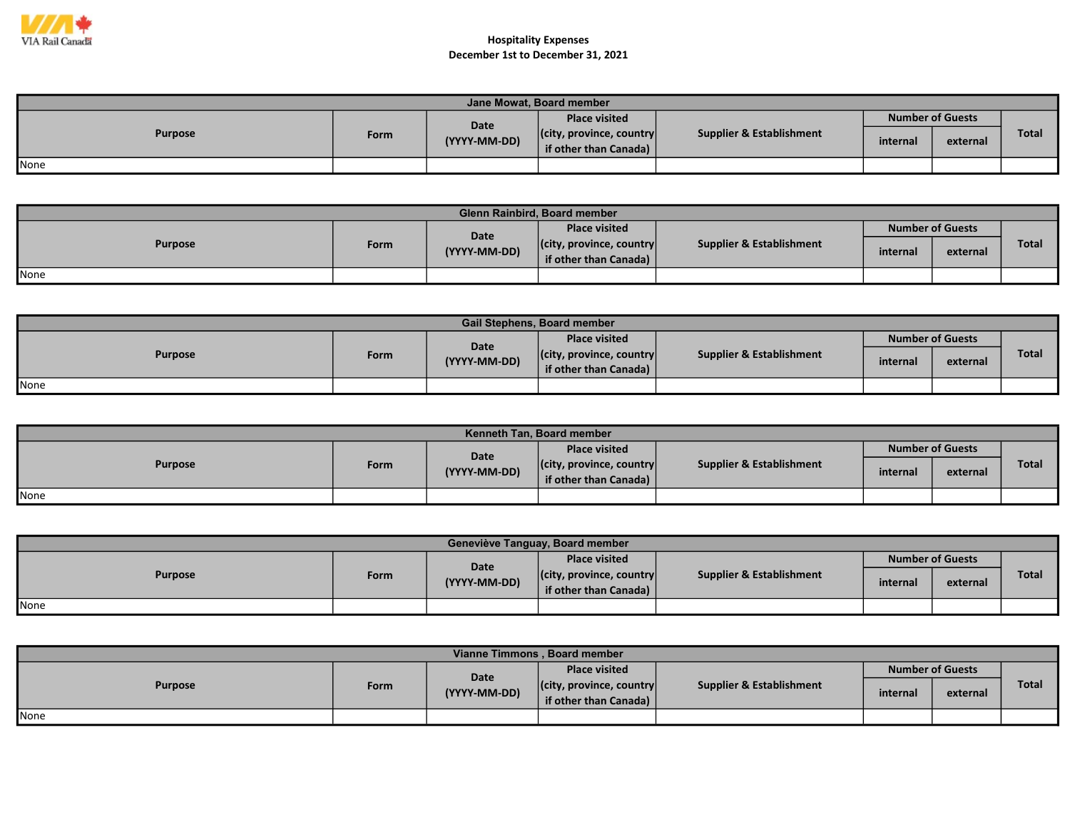

| Jane Mowat, Board member |      |                      |                                                           |                                     |                         |          |              |  |  |  |
|--------------------------|------|----------------------|-----------------------------------------------------------|-------------------------------------|-------------------------|----------|--------------|--|--|--|
|                          |      |                      | <b>Place visited</b>                                      |                                     | <b>Number of Guests</b> |          |              |  |  |  |
| <b>Purpose</b>           | Form | Date<br>(YYYY-MM-DD) | $ $ (city, province, country $ $<br>if other than Canada) | <b>Supplier &amp; Establishment</b> | internal                | external | <b>Total</b> |  |  |  |
| None                     |      |                      |                                                           |                                     |                         |          |              |  |  |  |

| Glenn Rainbird, Board member |      |              |                                  |                          |          |                         |              |  |  |  |  |
|------------------------------|------|--------------|----------------------------------|--------------------------|----------|-------------------------|--------------|--|--|--|--|
| <b>Purpose</b>               |      | Date         | <b>Place visited</b>             |                          |          | <b>Number of Guests</b> |              |  |  |  |  |
|                              | Form | (YYYY-MM-DD) | $ $ (city, province, country $ $ | Supplier & Establishment | internal | external                | <b>Total</b> |  |  |  |  |
|                              |      |              | if other than Canada)            |                          |          |                         |              |  |  |  |  |
| <b>None</b>                  |      |              |                                  |                          |          |                         |              |  |  |  |  |

| <b>Gail Stephens, Board member</b> |      |              |                                  |                          |                         |          |              |  |  |  |
|------------------------------------|------|--------------|----------------------------------|--------------------------|-------------------------|----------|--------------|--|--|--|
| <b>Purpose</b>                     |      | Date         | <b>Place visited</b>             |                          | <b>Number of Guests</b> |          |              |  |  |  |
|                                    | Form | (YYYY-MM-DD) | $ $ (city, province, country $ $ | Supplier & Establishment | internal                | external | <b>Total</b> |  |  |  |
|                                    |      |              | if other than Canada)            |                          |                         |          |              |  |  |  |
| None                               |      |              |                                  |                          |                         |          |              |  |  |  |

| Kenneth Tan, Board member |      |              |                                  |                          |                         |          |              |  |  |  |
|---------------------------|------|--------------|----------------------------------|--------------------------|-------------------------|----------|--------------|--|--|--|
| <b>Purpose</b>            |      | Date         | <b>Place visited</b>             |                          | <b>Number of Guests</b> |          |              |  |  |  |
|                           | Form | (YYYY-MM-DD) | $ $ (city, province, country $ $ | Supplier & Establishment | internal                | external | <b>Total</b> |  |  |  |
|                           |      |              | if other than Canada)            |                          |                         |          |              |  |  |  |
| <b>None</b>               |      |              |                                  |                          |                         |          |              |  |  |  |

| Geneviève Tanguay, Board member |      |              |                                                           |                          |          |                         |              |  |  |  |
|---------------------------------|------|--------------|-----------------------------------------------------------|--------------------------|----------|-------------------------|--------------|--|--|--|
| <b>Purpose</b>                  |      | Date         | <b>Place visited</b>                                      |                          |          | <b>Number of Guests</b> |              |  |  |  |
|                                 | Form | (YYYY-MM-DD) | $ $ (city, province, country $ $<br>if other than Canada) | Supplier & Establishment | internal | external                | <b>Total</b> |  |  |  |
| None                            |      |              |                                                           |                          |          |                         |              |  |  |  |

| Vianne Timmons, Board member |      |              |                                                           |                          |          |                         |              |  |  |  |
|------------------------------|------|--------------|-----------------------------------------------------------|--------------------------|----------|-------------------------|--------------|--|--|--|
|                              |      | <b>Date</b>  | <b>Place visited</b>                                      |                          |          | <b>Number of Guests</b> |              |  |  |  |
| <b>Purpose</b>               | Form | (YYYY-MM-DD) | $ $ (city, province, country $ $<br>if other than Canada) | Supplier & Establishment | internal | external                | <b>Total</b> |  |  |  |
| None                         |      |              |                                                           |                          |          |                         |              |  |  |  |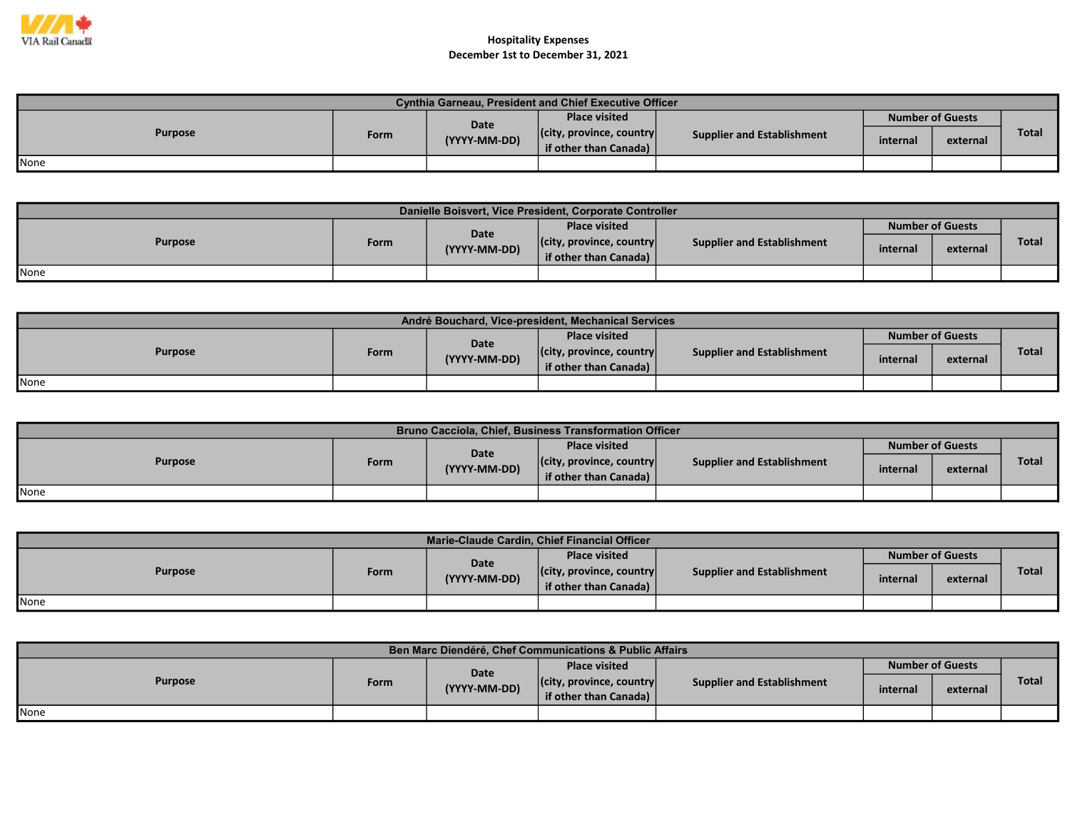

| <b>Cynthia Garneau. President and Chief Executive Officer</b> |      |              |                                  |                                   |                                     |          |              |  |  |
|---------------------------------------------------------------|------|--------------|----------------------------------|-----------------------------------|-------------------------------------|----------|--------------|--|--|
| <b>Purpose</b>                                                |      | Date         | <b>Place visited</b>             |                                   | <b>Number of Guests</b><br>internal |          |              |  |  |
|                                                               | Form | (YYYY-MM-DD) | $ $ (city, province, country $ $ | <b>Supplier and Establishment</b> |                                     | external | <b>Total</b> |  |  |
|                                                               |      |              | <b>if other than Canada)</b>     |                                   |                                     |          |              |  |  |
| <b>None</b>                                                   |      |              |                                  |                                   |                                     |          |              |  |  |

| Danielle Boisvert, Vice President, Corporate Controller |      |                      |                                                           |                                   |          |                         |              |  |  |
|---------------------------------------------------------|------|----------------------|-----------------------------------------------------------|-----------------------------------|----------|-------------------------|--------------|--|--|
| <b>Purpose</b>                                          |      |                      | <b>Place visited</b>                                      |                                   |          | <b>Number of Guests</b> |              |  |  |
|                                                         | Form | Date<br>(YYYY-MM-DD) | $ $ (city, province, country $ $<br>if other than Canada) | <b>Supplier and Establishment</b> | internal | external                | <b>Total</b> |  |  |
| <b>I</b> None                                           |      |                      |                                                           |                                   |          |                         |              |  |  |

| André Bouchard, Vice-president, Mechanical Services |      |              |                                                           |                                   |                         |          |              |  |  |
|-----------------------------------------------------|------|--------------|-----------------------------------------------------------|-----------------------------------|-------------------------|----------|--------------|--|--|
| <b>Purpose</b>                                      |      | <b>Date</b>  | <b>Place visited</b>                                      |                                   | <b>Number of Guests</b> |          |              |  |  |
|                                                     | Form | (YYYY-MM-DD) | $ $ (city, province, country $ $<br>if other than Canada) | <b>Supplier and Establishment</b> | internal                | external | <b>Total</b> |  |  |
| None                                                |      |              |                                                           |                                   |                         |          |              |  |  |

| <b>Bruno Cacciola, Chief, Business Transformation Officer</b> |      |              |                                  |                                   |                         |          |              |  |  |
|---------------------------------------------------------------|------|--------------|----------------------------------|-----------------------------------|-------------------------|----------|--------------|--|--|
| <b>Purpose</b>                                                |      | Date         | <b>Place visited</b>             |                                   | <b>Number of Guests</b> |          |              |  |  |
|                                                               | Form | (YYYY-MM-DD) | $ $ (city, province, country $ $ | <b>Supplier and Establishment</b> | internal                | external | <b>Total</b> |  |  |
|                                                               |      |              | if other than Canada)            |                                   |                         |          |              |  |  |
| None                                                          |      |              |                                  |                                   |                         |          |              |  |  |

| Marie-Claude Cardin, Chief Financial Officer |      |              |                                  |                                   |          |                         |              |  |
|----------------------------------------------|------|--------------|----------------------------------|-----------------------------------|----------|-------------------------|--------------|--|
| <b>Purpose</b>                               |      | Date         | <b>Place visited</b>             |                                   |          | <b>Number of Guests</b> |              |  |
|                                              | Form | (YYYY-MM-DD) | $ $ (city, province, country $ $ | <b>Supplier and Establishment</b> | internal | external                | <b>Total</b> |  |
|                                              |      |              | if other than Canada)            |                                   |          |                         |              |  |
| <b>None</b>                                  |      |              |                                  |                                   |          |                         |              |  |

| Ben Marc Diendéré, Chef Communications & Public Affairs |      |              |                                  |                                   |          |                         |       |  |  |
|---------------------------------------------------------|------|--------------|----------------------------------|-----------------------------------|----------|-------------------------|-------|--|--|
| <b>Purpose</b>                                          |      | Date         | <b>Place visited</b>             |                                   |          | <b>Number of Guests</b> |       |  |  |
|                                                         | Form | (YYYY-MM-DD) | $ $ (city, province, country $ $ | <b>Supplier and Establishment</b> |          |                         | Total |  |  |
|                                                         |      |              | if other than Canada)            |                                   | internal | external                |       |  |  |
| <b>I</b> None                                           |      |              |                                  |                                   |          |                         |       |  |  |